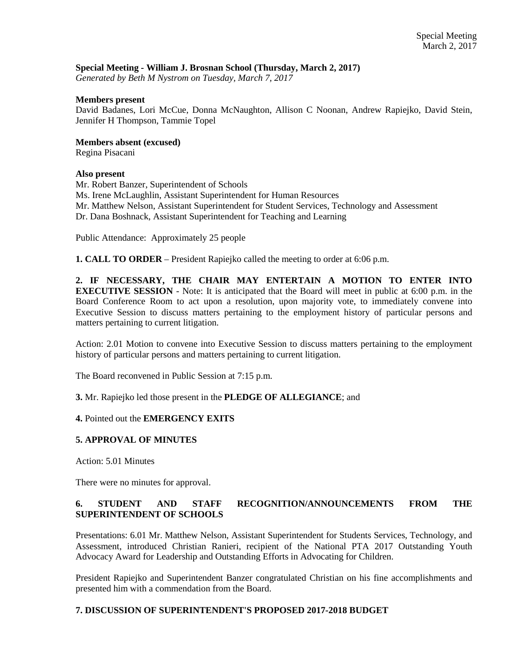## **Special Meeting - William J. Brosnan School (Thursday, March 2, 2017)**

*Generated by Beth M Nystrom on Tuesday, March 7, 2017*

#### **Members present**

David Badanes, Lori McCue, Donna McNaughton, Allison C Noonan, Andrew Rapiejko, David Stein, Jennifer H Thompson, Tammie Topel

**Members absent (excused)** 

Regina Pisacani

### **Also present**

Mr. Robert Banzer, Superintendent of Schools Ms. Irene McLaughlin, Assistant Superintendent for Human Resources Mr. Matthew Nelson, Assistant Superintendent for Student Services, Technology and Assessment Dr. Dana Boshnack, Assistant Superintendent for Teaching and Learning

Public Attendance: Approximately 25 people

**1. CALL TO ORDER** – President Rapiejko called the meeting to order at 6:06 p.m.

**2. IF NECESSARY, THE CHAIR MAY ENTERTAIN A MOTION TO ENTER INTO EXECUTIVE SESSION** - Note: It is anticipated that the Board will meet in public at 6:00 p.m. in the Board Conference Room to act upon a resolution, upon majority vote, to immediately convene into Executive Session to discuss matters pertaining to the employment history of particular persons and matters pertaining to current litigation.

Action: 2.01 Motion to convene into Executive Session to discuss matters pertaining to the employment history of particular persons and matters pertaining to current litigation.

The Board reconvened in Public Session at 7:15 p.m.

**3.** Mr. Rapiejko led those present in the **PLEDGE OF ALLEGIANCE**; and

**4.** Pointed out the **EMERGENCY EXITS** 

## **5. APPROVAL OF MINUTES**

Action: 5.01 Minutes

There were no minutes for approval.

# **6. STUDENT AND STAFF RECOGNITION/ANNOUNCEMENTS FROM THE SUPERINTENDENT OF SCHOOLS**

Presentations: 6.01 Mr. Matthew Nelson, Assistant Superintendent for Students Services, Technology, and Assessment, introduced Christian Ranieri, recipient of the National PTA 2017 Outstanding Youth Advocacy Award for Leadership and Outstanding Efforts in Advocating for Children.

President Rapiejko and Superintendent Banzer congratulated Christian on his fine accomplishments and presented him with a commendation from the Board.

## **7. DISCUSSION OF SUPERINTENDENT'S PROPOSED 2017-2018 BUDGET**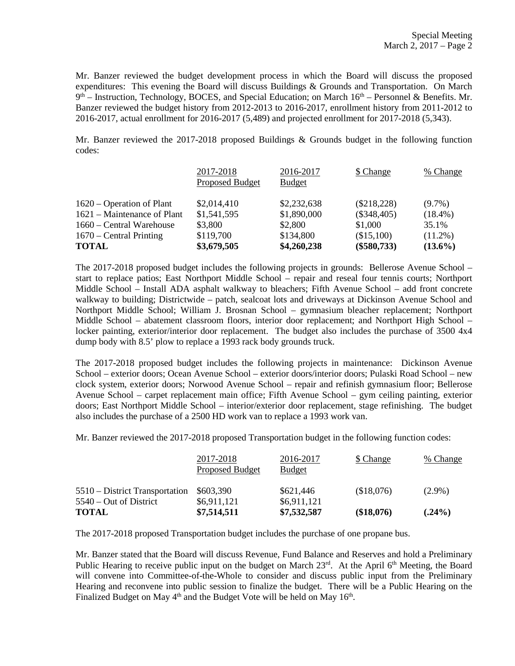Mr. Banzer reviewed the budget development process in which the Board will discuss the proposed expenditures: This evening the Board will discuss Buildings & Grounds and Transportation. On March 9<sup>th</sup> – Instruction, Technology, BOCES, and Special Education; on March 16<sup>th</sup> – Personnel & Benefits. Mr. Banzer reviewed the budget history from 2012-2013 to 2016-2017, enrollment history from 2011-2012 to 2016-2017, actual enrollment for 2016-2017 (5,489) and projected enrollment for 2017-2018 (5,343).

Mr. Banzer reviewed the 2017-2018 proposed Buildings & Grounds budget in the following function codes:

|                             | 2017-2018<br>Proposed Budget | 2016-2017<br><b>Budget</b> | \$ Change     | % Change   |
|-----------------------------|------------------------------|----------------------------|---------------|------------|
| 1620 – Operation of Plant   | \$2,014,410                  | \$2,232,638                | $(\$218,228)$ | $(9.7\%)$  |
| 1621 – Maintenance of Plant | \$1,541,595                  | \$1,890,000                | $(\$348,405)$ | $(18.4\%)$ |
| 1660 – Central Warehouse    | \$3,800                      | \$2,800                    | \$1,000       | 35.1%      |
| $1670$ – Central Printing   | \$119,700                    | \$134,800                  | (\$15,100)    | $(11.2\%)$ |
| <b>TOTAL</b>                | \$3,679,505                  | \$4,260,238                | $(\$580,733)$ | $(13.6\%)$ |

The 2017-2018 proposed budget includes the following projects in grounds: Bellerose Avenue School – start to replace patios; East Northport Middle School – repair and reseal four tennis courts; Northport Middle School – Install ADA asphalt walkway to bleachers; Fifth Avenue School – add front concrete walkway to building; Districtwide – patch, sealcoat lots and driveways at Dickinson Avenue School and Northport Middle School; William J. Brosnan School – gymnasium bleacher replacement; Northport Middle School – abatement classroom floors, interior door replacement; and Northport High School – locker painting, exterior/interior door replacement. The budget also includes the purchase of 3500 4x4 dump body with 8.5' plow to replace a 1993 rack body grounds truck.

The 2017-2018 proposed budget includes the following projects in maintenance: Dickinson Avenue School – exterior doors; Ocean Avenue School – exterior doors/interior doors; Pulaski Road School – new clock system, exterior doors; Norwood Avenue School – repair and refinish gymnasium floor; Bellerose Avenue School – carpet replacement main office; Fifth Avenue School – gym ceiling painting, exterior doors; East Northport Middle School – interior/exterior door replacement, stage refinishing. The budget also includes the purchase of a 2500 HD work van to replace a 1993 work van.

Mr. Banzer reviewed the 2017-2018 proposed Transportation budget in the following function codes:

|                                | 2017-2018<br><b>Proposed Budget</b> | 2016-2017<br><b>Budget</b> | \$ Change  | % Change  |
|--------------------------------|-------------------------------------|----------------------------|------------|-----------|
| 5510 – District Transportation | \$603,390                           | \$621,446                  | (\$18,076) | $(2.9\%)$ |
| $5540 - Out$ of District       | \$6,911,121                         | \$6,911,121                |            |           |
| <b>TOTAL</b>                   | \$7,514,511                         | \$7,532,587                | (\$18,076) | $(.24\%)$ |

The 2017-2018 proposed Transportation budget includes the purchase of one propane bus.

Mr. Banzer stated that the Board will discuss Revenue, Fund Balance and Reserves and hold a Preliminary Public Hearing to receive public input on the budget on March 23rd. At the April 6th Meeting, the Board will convene into Committee-of-the-Whole to consider and discuss public input from the Preliminary Hearing and reconvene into public session to finalize the budget. There will be a Public Hearing on the Finalized Budget on May 4<sup>th</sup> and the Budget Vote will be held on May 16<sup>th</sup>.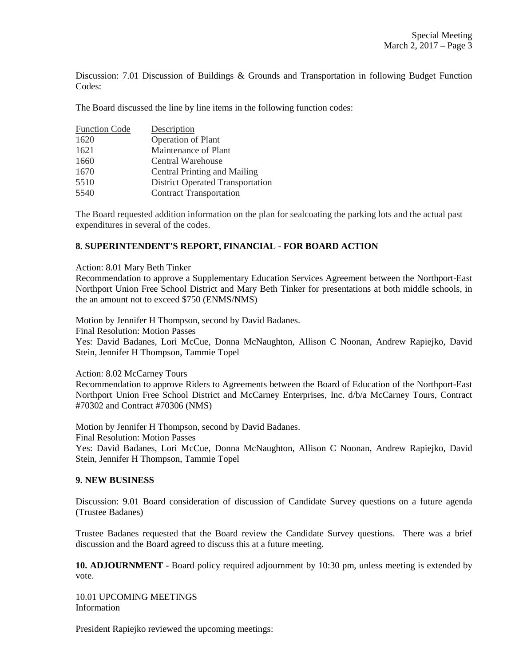Discussion: 7.01 Discussion of Buildings & Grounds and Transportation in following Budget Function Codes:

The Board discussed the line by line items in the following function codes:

| <b>Function Code</b> | Description                             |
|----------------------|-----------------------------------------|
| 1620                 | <b>Operation of Plant</b>               |
| 1621                 | Maintenance of Plant                    |
| 1660                 | Central Warehouse                       |
| 1670                 | Central Printing and Mailing            |
| 5510                 | <b>District Operated Transportation</b> |
| 5540                 | <b>Contract Transportation</b>          |

The Board requested addition information on the plan for sealcoating the parking lots and the actual past expenditures in several of the codes.

## **8. SUPERINTENDENT'S REPORT, FINANCIAL - FOR BOARD ACTION**

### Action: 8.01 Mary Beth Tinker

Recommendation to approve a Supplementary Education Services Agreement between the Northport-East Northport Union Free School District and Mary Beth Tinker for presentations at both middle schools, in the an amount not to exceed \$750 (ENMS/NMS)

Motion by Jennifer H Thompson, second by David Badanes.

Final Resolution: Motion Passes

Yes: David Badanes, Lori McCue, Donna McNaughton, Allison C Noonan, Andrew Rapiejko, David Stein, Jennifer H Thompson, Tammie Topel

### Action: 8.02 McCarney Tours

Recommendation to approve Riders to Agreements between the Board of Education of the Northport-East Northport Union Free School District and McCarney Enterprises, Inc. d/b/a McCarney Tours, Contract #70302 and Contract #70306 (NMS)

Motion by Jennifer H Thompson, second by David Badanes. Final Resolution: Motion Passes Yes: David Badanes, Lori McCue, Donna McNaughton, Allison C Noonan, Andrew Rapiejko, David Stein, Jennifer H Thompson, Tammie Topel

#### **9. NEW BUSINESS**

Discussion: 9.01 Board consideration of discussion of Candidate Survey questions on a future agenda (Trustee Badanes)

Trustee Badanes requested that the Board review the Candidate Survey questions. There was a brief discussion and the Board agreed to discuss this at a future meeting.

**10. ADJOURNMENT** - Board policy required adjournment by 10:30 pm, unless meeting is extended by vote.

10.01 UPCOMING MEETINGS Information

President Rapiejko reviewed the upcoming meetings: